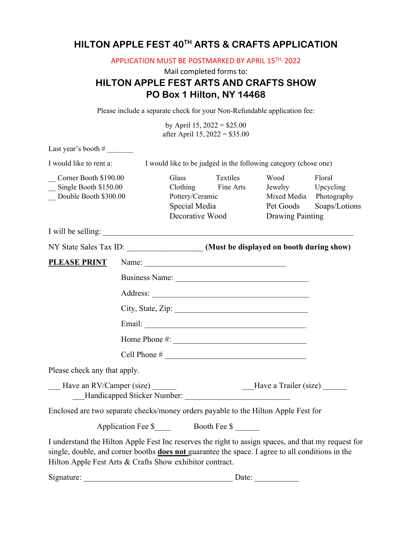# **HILTON APPLE FEST 40TH ARTS & CRAFTS APPLICATION**

APPLICATION MUST BE POSTMARKED BY APRIL 15TH, 2022

## Mail completed forms to: **HILTON APPLE FEST ARTS AND CRAFTS SHOW PO Box 1 Hilton, NY 14468**

Please include a separate check for your Non-Refundable application fee:

by April 15,  $2022 = $25.00$ after April 15, 2022 = \$35.00

Last year's booth  $#_2$ I would like to rent a: I would like to be judged in the following category (chose one) \_\_ Corner Booth \$190.00 Glass Textiles Wood Floral Single Booth \$150.00 Clothing Fine Arts Jewelry Upcycling Double Booth \$300.00 Pottery/Ceramic Mixed Media Photography Special Media Pet Goods Soaps/Lotions Decorative Wood Drawing Painting I will be selling: NY State Sales Tax ID: *(Must be displayed on booth during show)* PLEASE PRINT Name: Business Name: Address: \_\_\_\_\_\_\_\_\_\_\_\_\_\_\_\_\_\_\_\_\_\_\_\_\_\_\_\_\_\_\_\_\_\_\_\_\_\_\_ City, State, Zip: \_\_\_\_\_\_\_\_\_\_\_\_\_\_\_\_\_\_\_\_\_\_\_\_\_\_\_\_\_\_\_\_\_ Email: \_\_\_\_\_\_\_\_\_\_\_\_\_\_\_\_\_\_\_\_\_\_\_\_\_\_\_\_\_\_\_\_\_\_\_\_\_\_\_\_ Home Phone #: \_\_\_\_\_\_\_\_\_\_\_\_\_\_\_\_\_\_\_\_\_\_\_\_\_\_\_\_\_\_\_\_\_ Cell Phone # \_\_\_\_\_\_\_\_\_\_\_\_\_\_\_\_\_\_\_\_\_\_\_\_\_\_\_\_\_\_\_\_\_\_\_ Please check any that apply. \_\_\_ Have an RV/Camper (size) \_\_\_\_\_\_\_\_\_\_\_\_\_\_\_\_\_\_\_\_\_\_\_\_\_\_\_\_\_\_Have a Trailer (size) \_\_\_\_\_\_ Handicapped Sticker Number: Enclosed are two separate checks/money orders payable to the Hilton Apple Fest for Application Fee \$ Booth Fee \$ I understand the Hilton Apple Fest Inc reserves the right to assign spaces, and that my request for single, double, and corner booths **does not** guarantee the space. I agree to all conditions in the Hilton Apple Fest Arts & Crafts Show exhibitor contract. Signature: \_\_\_\_\_\_\_\_\_\_\_\_\_\_\_\_\_\_\_\_\_\_\_\_\_\_\_\_\_\_\_\_\_\_\_\_\_ Date: \_\_\_\_\_\_\_\_\_\_\_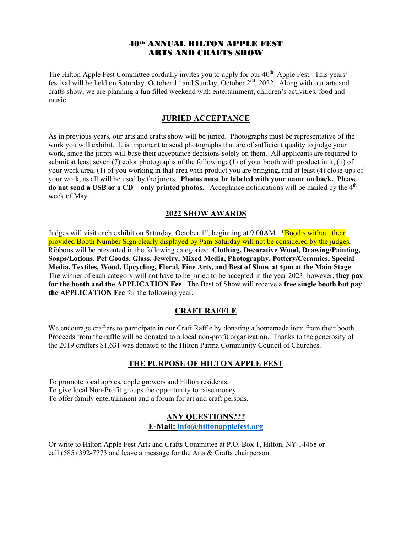### 40th ANNUAL HILTON APPLE FEST ARTS AND CRAFTS SHOW

The Hilton Apple Fest Committee cordially invites you to apply for our 40<sup>th</sup> Apple Fest. This years' festival will be held on Saturday, October 1st and Sunday, October 2nd, 2022. Along with our arts and crafts show, we are planning a fun filled weekend with entertainment, children's activities, food and music.

#### **JURIED ACCEPTANCE**

As in previous years, our arts and crafts show will be juried. Photographs must be representative of the work you will exhibit. It is important to send photographs that are of sufficient quality to judge your work, since the jurors will base their acceptance decisions solely on them. All applicants are required to submit at least seven (7) color photographs of the following: (1) of your booth with product in it, (1) of your work area, (1) of you working in that area with product you are bringing, and at least (4) close-ups of your work, as all will be used by the jurors. **Photos must be labeled with your name on back. Please do not send a USB or a CD – only printed photos.** Acceptance notifications will be mailed by the 4<sup>th</sup> week of May.

#### **2022 SHOW AWARDS**

Judges will visit each exhibit on Saturday, October 1<sup>st</sup>, beginning at 9:00AM. \*Booths without their provided Booth Number Sign clearly displayed by 9am Saturday will not be considered by the judges. Ribbons will be presented in the following categories: **Clothing, Decorative Wood, Drawing/Painting, Soaps/Lotions, Pet Goods, Glass, Jewelry, Mixed Media, Photography, Pottery/Ceramics, Special Media, Textiles, Wood, Upcycling, Floral, Fine Arts, and Best of Show at 4pm at the Main Stage**. The winner of each category will not have to be juried to be accepted in the year 2023; however, **they pay for the booth and the APPLICATION Fee**. The Best of Show will receive a **free single booth but pay the APPLICATION Fee** for the following year.

### **CRAFT RAFFLE**

We encourage crafters to participate in our Craft Raffle by donating a homemade item from their booth. Proceeds from the raffle will be donated to a local non-profit organization. Thanks to the generosity of the 2019 crafters \$1,631 was donated to the Hilton Parma Community Council of Churches.

#### **THE PURPOSE OF HILTON APPLE FEST**

To promote local apples, apple growers and Hilton residents. To give local Non-Profit groups the opportunity to raise money. To offer family entertainment and a forum for art and craft persons.

## **ANY QUESTIONS??? E-Mail: [info@hiltonapplefest.org](mailto:info@hiltonapplefest.org)**

Or write to Hilton Apple Fest Arts and Crafts Committee at P.O. Box 1, Hilton, NY 14468 or call (585) 392-7773 and leave a message for the Arts & Crafts chairperson.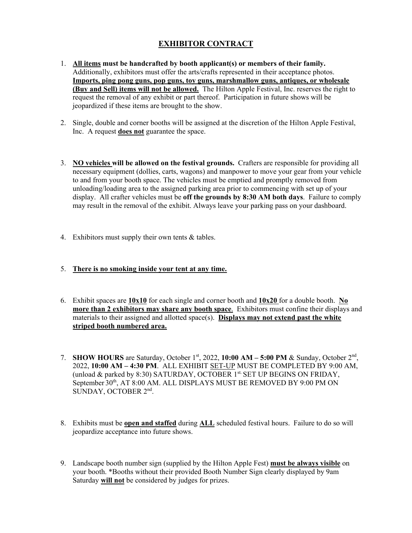## **EXHIBITOR CONTRACT**

- 1. **All items must be handcrafted by booth applicant(s) or members of their family.**  Additionally, exhibitors must offer the arts/crafts represented in their acceptance photos. **Imports, ping pong guns, pop guns, toy guns, marshmallow guns, antiques, or wholesale (Buy and Sell) items will not be allowed.** The Hilton Apple Festival, Inc. reserves the right to request the removal of any exhibit or part thereof. Participation in future shows will be jeopardized if these items are brought to the show.
- 2. Single, double and corner booths will be assigned at the discretion of the Hilton Apple Festival, Inc. A request **does not** guarantee the space.
- 3. **NO vehicles will be allowed on the festival grounds.** Crafters are responsible for providing all necessary equipment (dollies, carts, wagons) and manpower to move your gear from your vehicle to and from your booth space. The vehicles must be emptied and promptly removed from unloading/loading area to the assigned parking area prior to commencing with set up of your display. All crafter vehicles must be **off the grounds by 8:30 AM both days**. Failure to comply may result in the removal of the exhibit. Always leave your parking pass on your dashboard.
- 4. Exhibitors must supply their own tents & tables.
- 5. **There is no smoking inside your tent at any time.**
- 6. Exhibit spaces are **10x10** for each single and corner booth and **10x20** for a double booth. **No more than 2 exhibitors may share any booth space**. Exhibitors must confine their displays and materials to their assigned and allotted space(s). **Displays may not extend past the white striped booth numbered area.**
- 7. **SHOW HOURS** are Saturday, October 1st, 2022, **10:00 AM – 5:00 PM** & Sunday, October 2nd, 2022, **10:00 AM – 4:30 PM**. ALL EXHIBIT SET-UP MUST BE COMPLETED BY 9:00 AM, (unload & parked by 8:30) SATURDAY, OCTOBER  $1^{st}$ . SET UP BEGINS ON FRIDAY, September 30<sup>th</sup>, AT 8:00 AM. ALL DISPLAYS MUST BE REMOVED BY 9:00 PM ON SUNDAY, OCTOBER 2nd.
- 8. Exhibits must be **open and staffed** during **ALL** scheduled festival hours. Failure to do so will jeopardize acceptance into future shows.
- 9. Landscape booth number sign (supplied by the Hilton Apple Fest) **must be always visible** on your booth. \*Booths without their provided Booth Number Sign clearly displayed by 9am Saturday **will not** be considered by judges for prizes.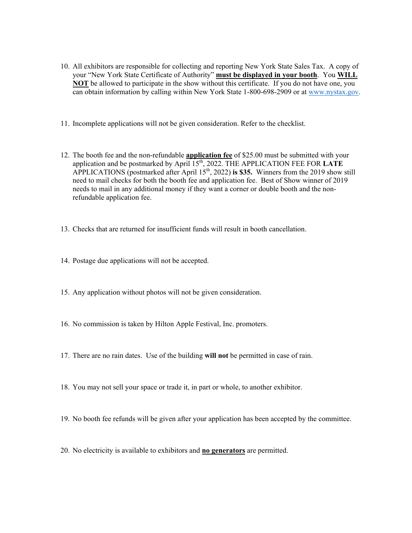- 10. All exhibitors are responsible for collecting and reporting New York State Sales Tax. A copy of your "New York State Certificate of Authority" **must be displayed in your booth**. You **WILL NOT** be allowed to participate in the show without this certificate. If you do not have one, you can obtain information by calling within New York State 1-800-698-2909 or at [www.nystax.gov.](about:blank)
- 11. Incomplete applications will not be given consideration. Refer to the checklist.
- 12. The booth fee and the non-refundable **application fee** of \$25.00 must be submitted with your application and be postmarked by April 15<sup>th</sup>, 2022. THE APPLICATION FEE FOR LATE APPLICATIONS (postmarked after April  $15<sup>th</sup>$ , 2022) is \$35. Winners from the 2019 show still need to mail checks for both the booth fee and application fee. Best of Show winner of 2019 needs to mail in any additional money if they want a corner or double booth and the nonrefundable application fee.
- 13. Checks that are returned for insufficient funds will result in booth cancellation.
- 14. Postage due applications will not be accepted.
- 15. Any application without photos will not be given consideration.
- 16. No commission is taken by Hilton Apple Festival, Inc. promoters.
- 17. There are no rain dates. Use of the building **will not** be permitted in case of rain.
- 18. You may not sell your space or trade it, in part or whole, to another exhibitor.
- 19. No booth fee refunds will be given after your application has been accepted by the committee.
- 20. No electricity is available to exhibitors and **no generators** are permitted.